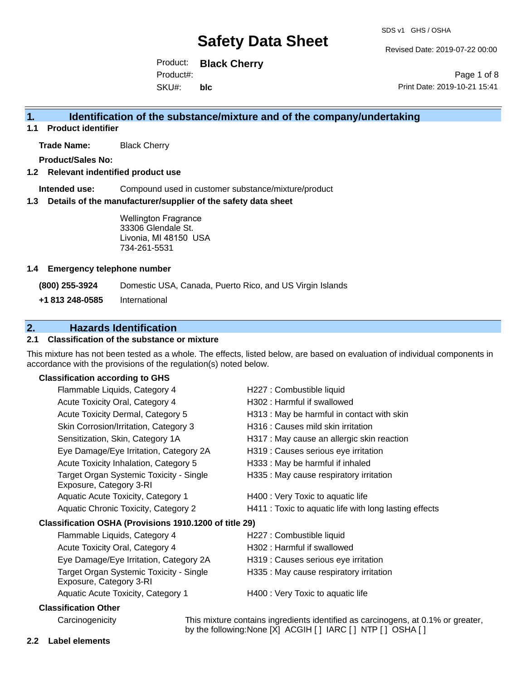Revised Date: 2019-07-22 00:00

Product: **Black Cherry** SKU#: Product#: **blc**

Page 1 of 8 Print Date: 2019-10-21 15:41

### **1. Identification of the substance/mixture and of the company/undertaking**

**1.1 Product identifier**

**Trade Name:** Black Cherry

**Product/Sales No:**

#### **1.2 Relevant indentified product use**

**Intended use:** Compound used in customer substance/mixture/product

#### **1.3 Details of the manufacturer/supplier of the safety data sheet**

Wellington Fragrance 33306 Glendale St. Livonia, MI 48150 USA 734-261-5531

#### **1.4 Emergency telephone number**

**(800) 255-3924** Domestic USA, Canada, Puerto Rico, and US Virgin Islands

**+1 813 248-0585** International

### **2. Hazards Identification**

#### **2.1 Classification of the substance or mixture**

This mixture has not been tested as a whole. The effects, listed below, are based on evaluation of individual components in accordance with the provisions of the regulation(s) noted below.

#### **Classification according to GHS**

| Flammable Liquids, Category 4                                      | H227 : Combustible liquid                                                                                                                          |
|--------------------------------------------------------------------|----------------------------------------------------------------------------------------------------------------------------------------------------|
| Acute Toxicity Oral, Category 4                                    | H302: Harmful if swallowed                                                                                                                         |
| Acute Toxicity Dermal, Category 5                                  | H313: May be harmful in contact with skin                                                                                                          |
| Skin Corrosion/Irritation, Category 3                              | H316 : Causes mild skin irritation                                                                                                                 |
| Sensitization, Skin, Category 1A                                   | H317 : May cause an allergic skin reaction                                                                                                         |
| Eye Damage/Eye Irritation, Category 2A                             | H319 : Causes serious eye irritation                                                                                                               |
| Acute Toxicity Inhalation, Category 5                              | H333: May be harmful if inhaled                                                                                                                    |
| Target Organ Systemic Toxicity - Single<br>Exposure, Category 3-RI | H335 : May cause respiratory irritation                                                                                                            |
| Aquatic Acute Toxicity, Category 1                                 | H400 : Very Toxic to aquatic life                                                                                                                  |
| Aquatic Chronic Toxicity, Category 2                               | H411 : Toxic to aquatic life with long lasting effects                                                                                             |
| Classification OSHA (Provisions 1910.1200 of title 29)             |                                                                                                                                                    |
| Flammable Liquids, Category 4                                      | H227 : Combustible liquid                                                                                                                          |
| Acute Toxicity Oral, Category 4                                    | H302: Harmful if swallowed                                                                                                                         |
| Eye Damage/Eye Irritation, Category 2A                             | H319 : Causes serious eye irritation                                                                                                               |
| Target Organ Systemic Toxicity - Single<br>Exposure, Category 3-RI | H335 : May cause respiratory irritation                                                                                                            |
| Aquatic Acute Toxicity, Category 1                                 | H400 : Very Toxic to aquatic life                                                                                                                  |
| <b>Classification Other</b>                                        |                                                                                                                                                    |
| Carcinogenicity                                                    | This mixture contains ingredients identified as carcinogens, at 0.1% or greater,<br>by the following: None [X] ACGIH [ ] IARC [ ] NTP [ ] OSHA [ ] |

**2.2 Label elements**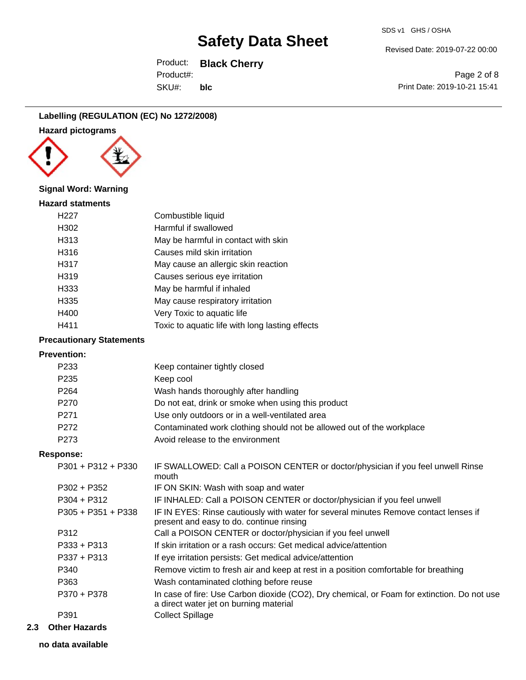Revised Date: 2019-07-22 00:00

Product: **Black Cherry** SKU#: Product#: **blc**

Page 2 of 8 Print Date: 2019-10-21 15:41

### **Labelling (REGULATION (EC) No 1272/2008)**





#### **Signal Word: Warning**

#### **Hazard statments**

| H <sub>22</sub> 7 | Combustible liquid                              |
|-------------------|-------------------------------------------------|
| H302              | Harmful if swallowed                            |
| H313              | May be harmful in contact with skin             |
| H316              | Causes mild skin irritation                     |
| H317              | May cause an allergic skin reaction             |
| H319              | Causes serious eye irritation                   |
| H333              | May be harmful if inhaled                       |
| H335              | May cause respiratory irritation                |
| H400              | Very Toxic to aquatic life                      |
| H411              | Toxic to aquatic life with long lasting effects |
|                   |                                                 |

#### **Precautionary Statements**

#### **Prevention:**

| P <sub>233</sub>     | Keep container tightly closed                                                                                                         |
|----------------------|---------------------------------------------------------------------------------------------------------------------------------------|
| P <sub>235</sub>     | Keep cool                                                                                                                             |
| P <sub>264</sub>     | Wash hands thoroughly after handling                                                                                                  |
| P <sub>270</sub>     | Do not eat, drink or smoke when using this product                                                                                    |
| P <sub>271</sub>     | Use only outdoors or in a well-ventilated area                                                                                        |
| P272                 | Contaminated work clothing should not be allowed out of the workplace                                                                 |
| P <sub>273</sub>     | Avoid release to the environment                                                                                                      |
| Response:            |                                                                                                                                       |
| $P301 + P312 + P330$ | IF SWALLOWED: Call a POISON CENTER or doctor/physician if you feel unwell Rinse<br>mouth                                              |
| $P302 + P352$        | IF ON SKIN: Wash with soap and water                                                                                                  |
| $P304 + P312$        | IF INHALED: Call a POISON CENTER or doctor/physician if you feel unwell                                                               |
| $P305 + P351 + P338$ | IF IN EYES: Rinse cautiously with water for several minutes Remove contact lenses if<br>present and easy to do. continue rinsing      |
| P312                 | Call a POISON CENTER or doctor/physician if you feel unwell                                                                           |
| $P333 + P313$        | If skin irritation or a rash occurs: Get medical advice/attention                                                                     |
| $P337 + P313$        | If eye irritation persists: Get medical advice/attention                                                                              |
| P340                 | Remove victim to fresh air and keep at rest in a position comfortable for breathing                                                   |
| P363                 | Wash contaminated clothing before reuse                                                                                               |
| P370 + P378          | In case of fire: Use Carbon dioxide (CO2), Dry chemical, or Foam for extinction. Do not use<br>a direct water jet on burning material |
| P391                 | <b>Collect Spillage</b>                                                                                                               |

**2.3 Other Hazards**

**no data available**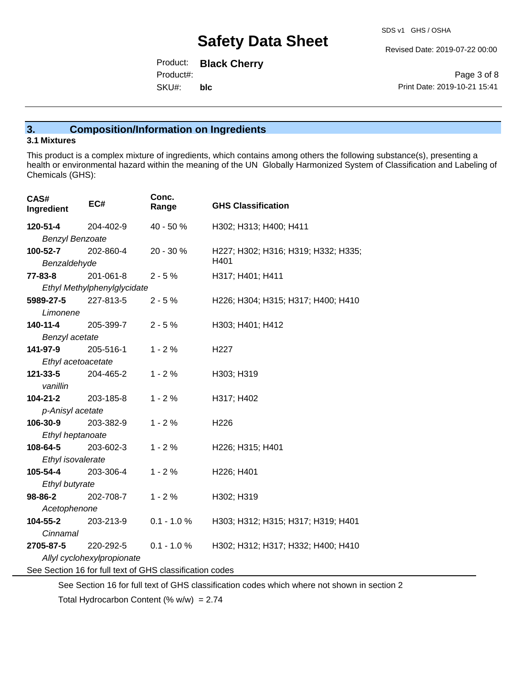Revised Date: 2019-07-22 00:00

Product: **Black Cherry** SKU#: Product#: **blc**

Page 3 of 8 Print Date: 2019-10-21 15:41

### **3. Composition/Information on Ingredients**

### **3.1 Mixtures**

This product is a complex mixture of ingredients, which contains among others the following substance(s), presenting a health or environmental hazard within the meaning of the UN Globally Harmonized System of Classification and Labeling of Chemicals (GHS):

| CAS#<br>Ingredient                                       | EC#                         | Conc.<br>Range | <b>GHS Classification</b>                              |
|----------------------------------------------------------|-----------------------------|----------------|--------------------------------------------------------|
| 120-51-4                                                 | 204-402-9                   | 40 - 50 %      | H302; H313; H400; H411                                 |
| <b>Benzyl Benzoate</b>                                   |                             |                |                                                        |
| 100-52-7                                                 | 202-860-4                   | 20 - 30 %      | H227; H302; H316; H319; H332; H335;                    |
| Benzaldehyde                                             |                             |                | H401                                                   |
| $77 - 83 - 8$                                            | 201-061-8                   | $2 - 5%$       | H317; H401; H411                                       |
|                                                          | Ethyl Methylphenylglycidate |                |                                                        |
| 5989-27-5                                                | 227-813-5                   | $2 - 5%$       | H226; H304; H315; H317; H400; H410                     |
| Limonene                                                 |                             |                |                                                        |
| 140-11-4                                                 | 205-399-7                   | $2 - 5%$       | H303; H401; H412                                       |
| Benzyl acetate                                           |                             |                |                                                        |
| 141-97-9                                                 | 205-516-1                   | $1 - 2%$       | H <sub>227</sub>                                       |
| Ethyl acetoacetate                                       |                             |                |                                                        |
| 121-33-5                                                 | 204-465-2                   | $1 - 2%$       | H303; H319                                             |
| vanillin                                                 |                             |                |                                                        |
| 104-21-2                                                 | 203-185-8                   | $1 - 2%$       | H317; H402                                             |
| p-Anisyl acetate                                         |                             |                |                                                        |
| 106-30-9                                                 | 203-382-9                   | $1 - 2%$       | H <sub>226</sub>                                       |
| Ethyl heptanoate                                         |                             |                |                                                        |
| 108-64-5                                                 | 203-602-3                   | $1 - 2%$       | H <sub>226</sub> ; H <sub>315</sub> ; H <sub>401</sub> |
| Ethyl isovalerate                                        |                             |                |                                                        |
| 105-54-4                                                 | 203-306-4                   | $1 - 2%$       | H226; H401                                             |
| Ethyl butyrate                                           |                             |                |                                                        |
| 98-86-2                                                  | 202-708-7                   | $1 - 2%$       | H302; H319                                             |
| Acetophenone                                             |                             |                |                                                        |
| 104-55-2                                                 | 203-213-9                   | $0.1 - 1.0 %$  | H303; H312; H315; H317; H319; H401                     |
| Cinnamal                                                 |                             |                |                                                        |
| 2705-87-5                                                | 220-292-5                   | $0.1 - 1.0 \%$ | H302; H312; H317; H332; H400; H410                     |
| Allyl cyclohexylpropionate                               |                             |                |                                                        |
| See Section 16 for full text of GHS classification codes |                             |                |                                                        |

See Section 16 for full text of GHS classification codes which where not shown in section 2

Total Hydrocarbon Content (%  $w/w$ ) = 2.74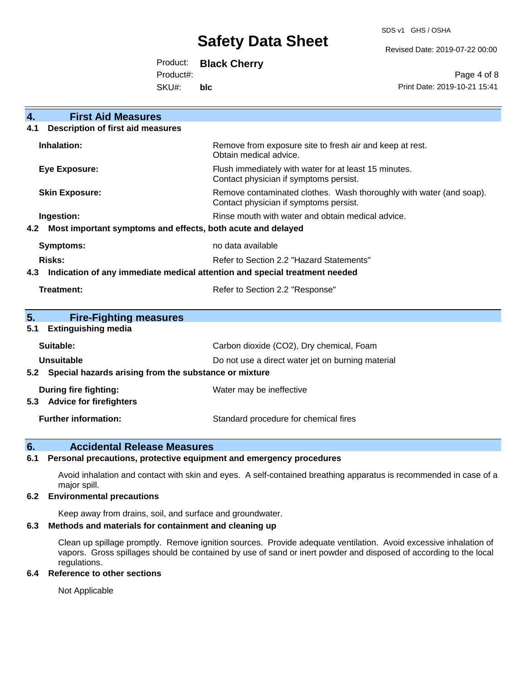SDS v1 GHS / OSHA

Revised Date: 2019-07-22 00:00

Product: **Black Cherry**

Product#:

SKU#: **blc**

Page 4 of 8 Print Date: 2019-10-21 15:41

| <b>First Aid Measures</b><br>4.                                                   |                                                                                                               |  |
|-----------------------------------------------------------------------------------|---------------------------------------------------------------------------------------------------------------|--|
| <b>Description of first aid measures</b><br>4.1                                   |                                                                                                               |  |
| Inhalation:                                                                       | Remove from exposure site to fresh air and keep at rest.<br>Obtain medical advice.                            |  |
| <b>Eye Exposure:</b>                                                              | Flush immediately with water for at least 15 minutes.<br>Contact physician if symptoms persist.               |  |
| <b>Skin Exposure:</b>                                                             | Remove contaminated clothes. Wash thoroughly with water (and soap).<br>Contact physician if symptoms persist. |  |
| Ingestion:                                                                        | Rinse mouth with water and obtain medical advice.                                                             |  |
| Most important symptoms and effects, both acute and delayed<br>4.2                |                                                                                                               |  |
| Symptoms:                                                                         | no data available                                                                                             |  |
| Risks:                                                                            | Refer to Section 2.2 "Hazard Statements"                                                                      |  |
| Indication of any immediate medical attention and special treatment needed<br>4.3 |                                                                                                               |  |
| Treatment:                                                                        | Refer to Section 2.2 "Response"                                                                               |  |
| 5.<br><b>Fire-Fighting measures</b>                                               |                                                                                                               |  |
| <b>Extinguishing media</b><br>5.1                                                 |                                                                                                               |  |
| Suitable:                                                                         | Carbon dioxide (CO2), Dry chemical, Foam                                                                      |  |
| <b>Unsuitable</b>                                                                 | Do not use a direct water jet on burning material                                                             |  |
| Special hazards arising from the substance or mixture<br>5.2                      |                                                                                                               |  |
| During fire fighting:                                                             | Water may be ineffective                                                                                      |  |
| <b>Advice for firefighters</b><br>5.3                                             |                                                                                                               |  |
| <b>Further information:</b>                                                       | Standard procedure for chemical fires                                                                         |  |

### **6. Accidental Release Measures**

#### **6.1 Personal precautions, protective equipment and emergency procedures**

Avoid inhalation and contact with skin and eyes. A self-contained breathing apparatus is recommended in case of a major spill.

#### **6.2 Environmental precautions**

Keep away from drains, soil, and surface and groundwater.

#### **6.3 Methods and materials for containment and cleaning up**

Clean up spillage promptly. Remove ignition sources. Provide adequate ventilation. Avoid excessive inhalation of vapors. Gross spillages should be contained by use of sand or inert powder and disposed of according to the local regulations.

#### **6.4 Reference to other sections**

Not Applicable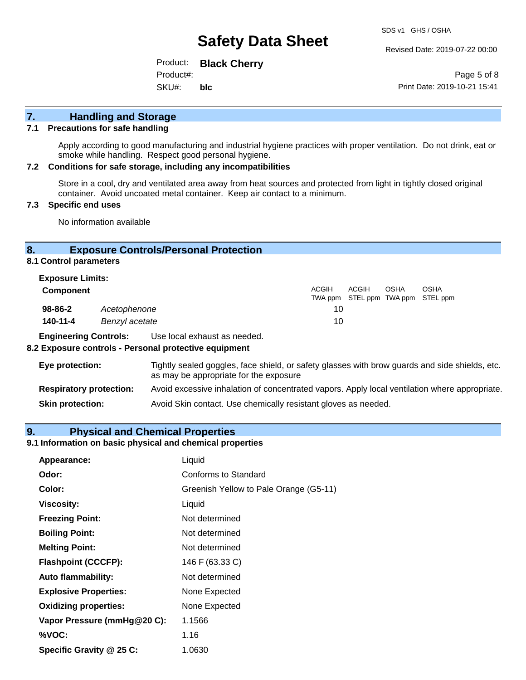Revised Date: 2019-07-22 00:00

Product: **Black Cherry** SKU#: Product#: **blc**

Page 5 of 8 Print Date: 2019-10-21 15:41

## **7. Handling and Storage**

#### **7.1 Precautions for safe handling**

Apply according to good manufacturing and industrial hygiene practices with proper ventilation. Do not drink, eat or smoke while handling. Respect good personal hygiene.

#### **7.2 Conditions for safe storage, including any incompatibilities**

Store in a cool, dry and ventilated area away from heat sources and protected from light in tightly closed original container. Avoid uncoated metal container. Keep air contact to a minimum.

#### **7.3 Specific end uses**

No information available

#### **8. Exposure Controls/Personal Protection**

**8.1 Control parameters**

| <b>Exposure Limits:</b> |                |                                                                                   |
|-------------------------|----------------|-----------------------------------------------------------------------------------|
| <b>Component</b>        |                | <b>ACGIH</b><br>ACGIH<br>OSHA<br><b>OSHA</b><br>TWA ppm STEL ppm TWA ppm STEL ppm |
| $98 - 86 - 2$           | Acetophenone   | 10                                                                                |
| 140-11-4                | Benzyl acetate | 10                                                                                |

**Engineering Controls:** Use local exhaust as needed.

#### **8.2 Exposure controls - Personal protective equipment**

| Eye protection:                | Tightly sealed goggles, face shield, or safety glasses with brow guards and side shields, etc.<br>as may be appropriate for the exposure |
|--------------------------------|------------------------------------------------------------------------------------------------------------------------------------------|
| <b>Respiratory protection:</b> | Avoid excessive inhalation of concentrated vapors. Apply local ventilation where appropriate.                                            |
| <b>Skin protection:</b>        | Avoid Skin contact. Use chemically resistant gloves as needed.                                                                           |

#### **9. Physical and Chemical Properties**

#### **9.1 Information on basic physical and chemical properties**

| Appearance:                  | Liquid                                 |
|------------------------------|----------------------------------------|
| Odor:                        | <b>Conforms to Standard</b>            |
| Color:                       | Greenish Yellow to Pale Orange (G5-11) |
| <b>Viscosity:</b>            | Liquid                                 |
| <b>Freezing Point:</b>       | Not determined                         |
| <b>Boiling Point:</b>        | Not determined                         |
| <b>Melting Point:</b>        | Not determined                         |
| <b>Flashpoint (CCCFP):</b>   | 146 F (63.33 C)                        |
| <b>Auto flammability:</b>    | Not determined                         |
| <b>Explosive Properties:</b> | None Expected                          |
| <b>Oxidizing properties:</b> | None Expected                          |
| Vapor Pressure (mmHg@20 C):  | 1.1566                                 |
| %VOC:                        | 1.16                                   |
| Specific Gravity @ 25 C:     | 1.0630                                 |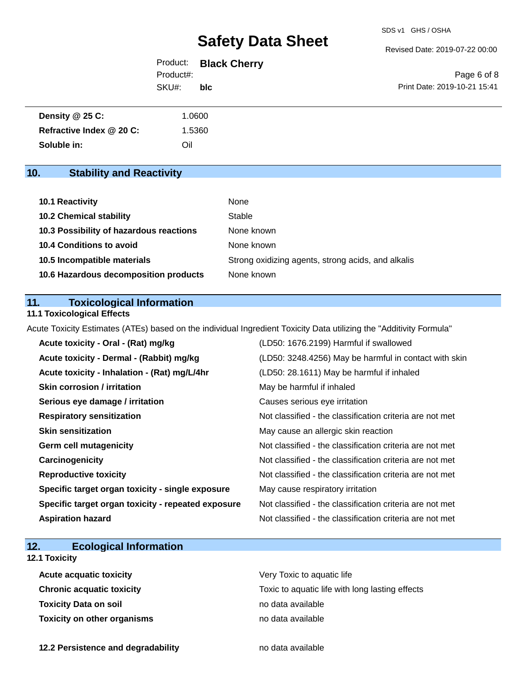Revised Date: 2019-07-22 00:00

|           | Product: Black Cherry |
|-----------|-----------------------|
| Product#: |                       |
| SKU#:     | <b>blc</b>            |

Page 6 of 8 Print Date: 2019-10-21 15:41

| Density @ 25 C:          | .0600  |
|--------------------------|--------|
| Refractive Index @ 20 C: | 1.5360 |
| Soluble in:              | Oil    |

## **10. Stability and Reactivity**

| <b>10.1 Reactivity</b>                  | None                                               |
|-----------------------------------------|----------------------------------------------------|
| <b>10.2 Chemical stability</b>          | Stable                                             |
| 10.3 Possibility of hazardous reactions | None known                                         |
| 10.4 Conditions to avoid                | None known                                         |
| 10.5 Incompatible materials             | Strong oxidizing agents, strong acids, and alkalis |
| 10.6 Hazardous decomposition products   | None known                                         |

#### **11. Toxicological Information**

#### **11.1 Toxicological Effects**

Acute Toxicity Estimates (ATEs) based on the individual Ingredient Toxicity Data utilizing the "Additivity Formula"

| Acute toxicity - Oral - (Rat) mg/kg                | (LD50: 1676.2199) Harmful if swallowed                   |
|----------------------------------------------------|----------------------------------------------------------|
| Acute toxicity - Dermal - (Rabbit) mg/kg           | (LD50: 3248.4256) May be harmful in contact with skin    |
| Acute toxicity - Inhalation - (Rat) mg/L/4hr       | (LD50: 28.1611) May be harmful if inhaled                |
| <b>Skin corrosion / irritation</b>                 | May be harmful if inhaled                                |
| Serious eye damage / irritation                    | Causes serious eye irritation                            |
| <b>Respiratory sensitization</b>                   | Not classified - the classification criteria are not met |
| <b>Skin sensitization</b>                          | May cause an allergic skin reaction                      |
| <b>Germ cell mutagenicity</b>                      | Not classified - the classification criteria are not met |
| Carcinogenicity                                    | Not classified - the classification criteria are not met |
| <b>Reproductive toxicity</b>                       | Not classified - the classification criteria are not met |
| Specific target organ toxicity - single exposure   | May cause respiratory irritation                         |
| Specific target organ toxicity - repeated exposure | Not classified - the classification criteria are not met |
| <b>Aspiration hazard</b>                           | Not classified - the classification criteria are not met |

### **12. Ecological Information**

#### **12.1 Toxicity**

| <b>Acute acquatic toxicity</b> | Very Toxic to aquatic life                      |
|--------------------------------|-------------------------------------------------|
| Chronic acquatic toxicity      | Toxic to aquatic life with long lasting effects |
| Toxicity Data on soil          | no data available                               |
| Toxicity on other organisms    | no data available                               |

**12.2 Persistence and degradability no data available**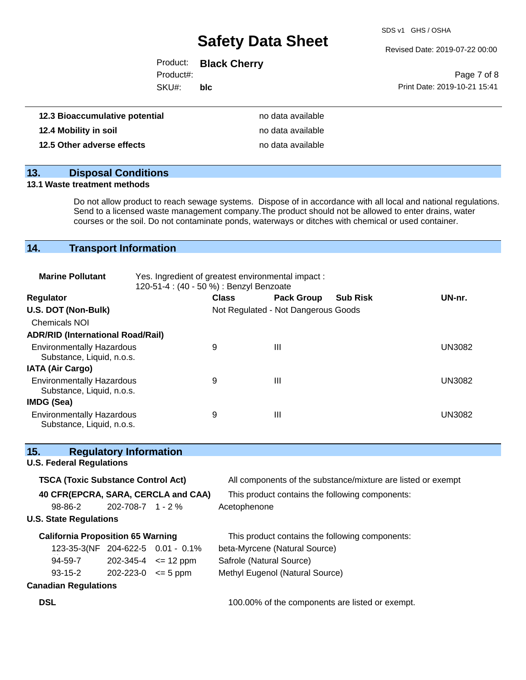SDS v1 GHS / OSHA

Revised Date: 2019-07-22 00:00

|           | Product: Black Cherry |                              |
|-----------|-----------------------|------------------------------|
| Product#: |                       | Page 7 of 8                  |
| SKU#:     | blc                   | Print Date: 2019-10-21 15:41 |

| 12.3 Bioaccumulative potential | no data available |
|--------------------------------|-------------------|
| 12.4 Mobility in soil          | no data available |
| 12.5 Other adverse effects     | no data available |

## **13. Disposal Conditions**

#### **13.1 Waste treatment methods**

Do not allow product to reach sewage systems. Dispose of in accordance with all local and national regulations. Send to a licensed waste management company.The product should not be allowed to enter drains, water courses or the soil. Do not contaminate ponds, waterways or ditches with chemical or used container.

### **14. Transport Information**

| <b>Marine Pollutant</b>                                       | Yes. Ingredient of greatest environmental impact:<br>120-51-4 : (40 - 50 %) : Benzyl Benzoate |              |                                     |                 |               |
|---------------------------------------------------------------|-----------------------------------------------------------------------------------------------|--------------|-------------------------------------|-----------------|---------------|
| <b>Regulator</b>                                              |                                                                                               | <b>Class</b> | <b>Pack Group</b>                   | <b>Sub Risk</b> | UN-nr.        |
| U.S. DOT (Non-Bulk)                                           |                                                                                               |              | Not Regulated - Not Dangerous Goods |                 |               |
| <b>Chemicals NOI</b>                                          |                                                                                               |              |                                     |                 |               |
| <b>ADR/RID (International Road/Rail)</b>                      |                                                                                               |              |                                     |                 |               |
| <b>Environmentally Hazardous</b><br>Substance, Liquid, n.o.s. |                                                                                               | 9            | Ш                                   |                 | <b>UN3082</b> |
| <b>IATA (Air Cargo)</b>                                       |                                                                                               |              |                                     |                 |               |
| <b>Environmentally Hazardous</b><br>Substance, Liquid, n.o.s. |                                                                                               | 9            | Ш                                   |                 | <b>UN3082</b> |
| IMDG (Sea)                                                    |                                                                                               |              |                                     |                 |               |
| <b>Environmentally Hazardous</b><br>Substance, Liquid, n.o.s. |                                                                                               | 9            | Ш                                   |                 | <b>UN3082</b> |

| 15.                             |         | <b>Regulatory Information</b>             |                                     |                                                              |
|---------------------------------|---------|-------------------------------------------|-------------------------------------|--------------------------------------------------------------|
| <b>U.S. Federal Regulations</b> |         |                                           |                                     |                                                              |
|                                 |         | <b>TSCA (Toxic Substance Control Act)</b> |                                     | All components of the substance/mixture are listed or exempt |
|                                 |         |                                           | 40 CFR(EPCRA, SARA, CERCLA and CAA) | This product contains the following components:              |
| 98-86-2                         |         | $202 - 708 - 7$ 1 - 2 %                   |                                     | Acetophenone                                                 |
| <b>U.S. State Regulations</b>   |         |                                           |                                     |                                                              |
|                                 |         | <b>California Proposition 65 Warning</b>  |                                     | This product contains the following components:              |
|                                 |         |                                           | 123-35-3(NF 204-622-5 0.01 - 0.1%   | beta-Myrcene (Natural Source)                                |
| 94-59-7                         |         |                                           | $202 - 345 - 4 \leq 12$ ppm         | Safrole (Natural Source)                                     |
|                                 | 93-15-2 | $202 - 223 - 0 \le 5$ ppm                 |                                     | Methyl Eugenol (Natural Source)                              |
| <b>Canadian Regulations</b>     |         |                                           |                                     |                                                              |
| <b>DSL</b>                      |         |                                           |                                     | 100.00% of the components are listed or exempt.              |